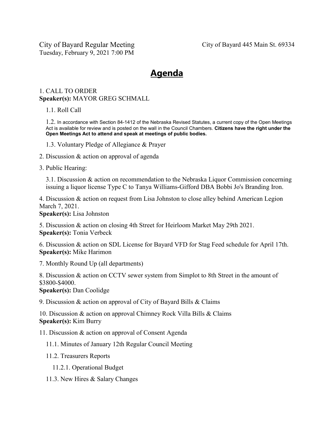City of Bayard Regular Meeting Tuesday, February 9, 2021 7:00 PM

## **Agenda**

## 1. CALL TO ORDER **Speaker(s):** MAYOR GREG SCHMALL

1.1. Roll Call

1.2. In accordance with Section 84-1412 of the Nebraska Revised Statutes, a current copy of the Open Meetings Act is available for review and is posted on the wall in the Council Chambers. **Citizens have the right under the Open Meetings Act to attend and speak at meetings of public bodies.**

- 1.3. Voluntary Pledge of Allegiance & Prayer
- 2. Discussion & action on approval of agenda
- 3. Public Hearing:

3.1. Discussion & action on recommendation to the Nebraska Liquor Commission concerning issuing a liquor license Type C to Tanya Williams-Gifford DBA Bobbi Jo's Branding Iron.

4. Discussion & action on request from Lisa Johnston to close alley behind American Legion March 7, 2021.

**Speaker(s):** Lisa Johnston

5. Discussion & action on closing 4th Street for Heirloom Market May 29th 2021. **Speaker(s):** Tonia Verbeck

6. Discussion & action on SDL License for Bayard VFD for Stag Feed schedule for April 17th. **Speaker(s):** Mike Harimon

7. Monthly Round Up (all departments)

8. Discussion & action on CCTV sewer system from Simplot to 8th Street in the amount of \$3800-\$4000.

**Speaker(s):** Dan Coolidge

9. Discussion & action on approval of City of Bayard Bills & Claims

10. Discussion & action on approval Chimney Rock Villa Bills & Claims **Speaker(s):** Kim Burry

11. Discussion & action on approval of Consent Agenda

11.1. Minutes of January 12th Regular Council Meeting

11.2. Treasurers Reports

- 11.2.1. Operational Budget
- 11.3. New Hires & Salary Changes